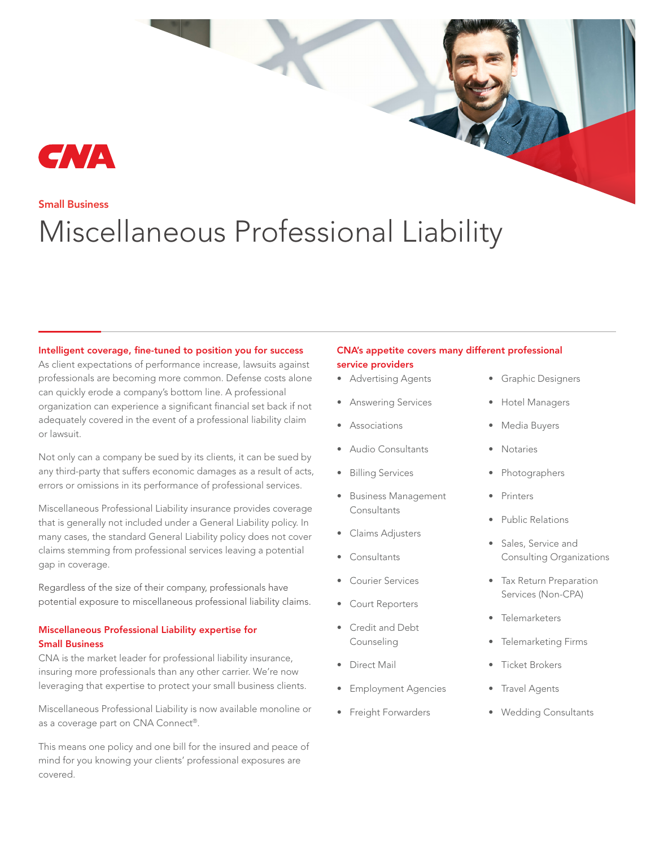

## Small Business

# Miscellaneous Professional Liability

## Intelligent coverage, fine-tuned to position you for success

As client expectations of performance increase, lawsuits against professionals are becoming more common. Defense costs alone can quickly erode a company's bottom line. A professional organization can experience a significant financial set back if not adequately covered in the event of a professional liability claim or lawsuit.

Not only can a company be sued by its clients, it can be sued by any third-party that suffers economic damages as a result of acts, errors or omissions in its performance of professional services.

Miscellaneous Professional Liability insurance provides coverage that is generally not included under a General Liability policy. In many cases, the standard General Liability policy does not cover claims stemming from professional services leaving a potential gap in coverage.

Regardless of the size of their company, professionals have potential exposure to miscellaneous professional liability claims.

## Miscellaneous Professional Liability expertise for Small Business

CNA is the market leader for professional liability insurance, insuring more professionals than any other carrier. We're now leveraging that expertise to protect your small business clients.

Miscellaneous Professional Liability is now available monoline or as a coverage part on CNA Connect®.

This means one policy and one bill for the insured and peace of mind for you knowing your clients' professional exposures are covered.

### CNA's appetite covers many different professional service providers

- Advertising Agents
- Answering Services
- Associations
- Audio Consultants
- Billing Services
- Business Management **Consultants**
- Claims Adjusters
- Consultants
- Courier Services
- Court Reporters
- Credit and Debt Counseling
- Direct Mail
- Employment Agencies
- Freight Forwarders
- Graphic Designers
- Hotel Managers
- Media Buyers
- **Notaries**
- Photographers
- **Printers**
- Public Relations
- Sales, Service and Consulting Organizations
- Tax Return Preparation Services (Non-CPA)
- Telemarketers
- Telemarketing Firms
- Ticket Brokers
- Travel Agents
- Wedding Consultants